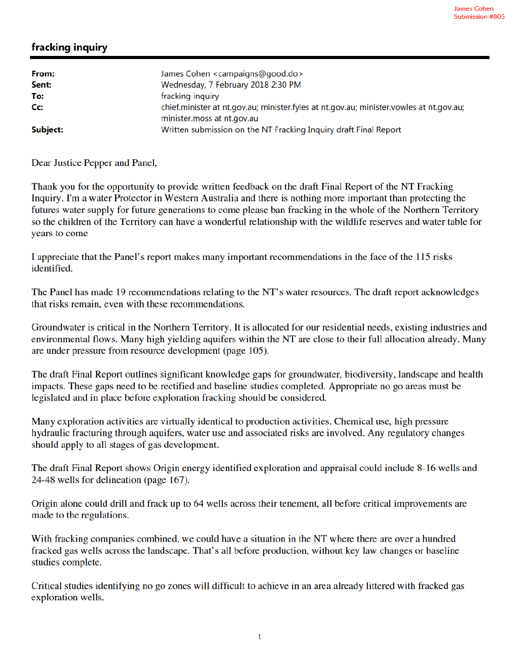## fracking inquiry

| From:<br>Sent: | James Cohen <campaigns@good.do><br/>Wednesday, 7 February 2018 2:30 PM</campaigns@good.do>                            |
|----------------|-----------------------------------------------------------------------------------------------------------------------|
| To:            | fracking inquiry                                                                                                      |
| Cc:            | chief.minister at nt.qov.au; minister.fyles at nt.gov.au; minister.vowles at nt.gov.au;<br>minister.moss at nt.gov.au |
| Subject:       | Written submission on the NT Fracking Inquiry draft Final Report                                                      |

Dear Justice Pepper and Panel,

Thank you for the opportunity to provide written feedback on the draft Final Report of the NT Fracking Inquiry. I'm a water Protector in Western Australia and there is nothing more important than protecting the futures water supply for future generations to come please ban fracking in the whole of the Northern Territory so the children of the Territory can have a wonderful relationship with the wildlife reserves and water table for years to come

I appreciate that the Panel's report makes many important recommendations in the face of the 115 risks identified.

The Panel has made 19 recommendations relating to the NT's water resources. The draft report acknowledges that risks remain, even with these recommendations.

Groundwater is critical in the Northern Territory. It is allocated for our residential needs, existing industries and environmental flows. Many high yielding aquifers within the NT are close to their full allocation already. Many are under pressure from resource development (page 105).

The draft Final Report outlines significant knowledge gaps for groundwater, biodiversity, landscape and health impacts. These gaps need to be rectified and baseline studies completed. Appropriate no go areas must be legislated and in place before exploration fracking should be considered.

Many exploration activities are virtually identical to production activities. Chemical use, high pressure hydraulic fracturing through aquifers, water use and associated risks are involved. Any regulatory changes should apply to all stages of gas development.

The draft Final Report shows Origin energy identified exploration and appraisal could include 8-16 wells and 24-48 wells for delineation (page 167).

Origin alone could drill and frack up to 64 wells across their tenement, all before critical improvements are made to the regulations.

With fracking companies combined, we could have a situation in the NT where there are over a hundred fracked gas wells across the landscape. That's all before production, without key law changes or baseline studies complete.

Critical studies identifying no go zones will difficult to achieve in an area already littered with fracked gas exploration wells.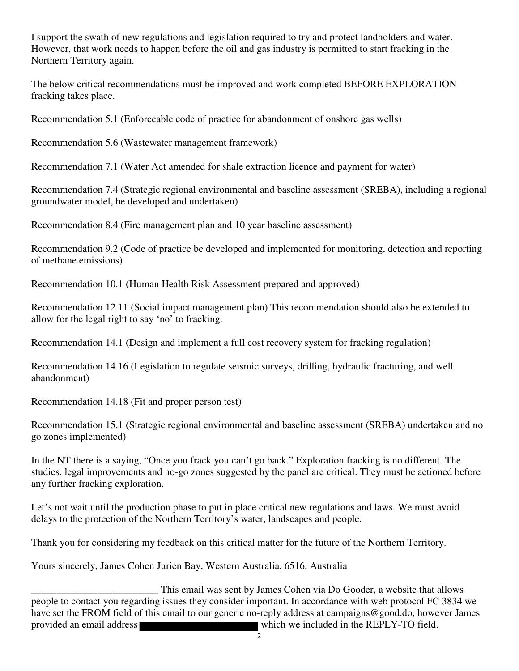I support the swath of new regulations and legislation required to try and protect landholders and water. However, that work needs to happen before the oil and gas industry is permitted to start fracking in the Northern Territory again.

The below critical recommendations must be improved and work completed BEFORE EXPLORATION fracking takes place.

Recommendation 5.1 (Enforceable code of practice for abandonment of onshore gas wells)

Recommendation 5.6 (Wastewater management framework)

Recommendation 7.1 (Water Act amended for shale extraction licence and payment for water)

Recommendation 7.4 (Strategic regional environmental and baseline assessment (SREBA), including a regional groundwater model, be developed and undertaken)

Recommendation 8.4 (Fire management plan and 10 year baseline assessment)

Recommendation 9.2 (Code of practice be developed and implemented for monitoring, detection and reporting of methane emissions)

Recommendation 10.1 (Human Health Risk Assessment prepared and approved)

Recommendation 12.11 (Social impact management plan) This recommendation should also be extended to allow for the legal right to say 'no' to fracking.

Recommendation 14.1 (Design and implement a full cost recovery system for fracking regulation)

Recommendation 14.16 (Legislation to regulate seismic surveys, drilling, hydraulic fracturing, and well abandonment)

Recommendation 14.18 (Fit and proper person test)

Recommendation 15.1 (Strategic regional environmental and baseline assessment (SREBA) undertaken and no go zones implemented)

In the NT there is a saying, "Once you frack you can't go back." Exploration fracking is no different. The studies, legal improvements and no-go zones suggested by the panel are critical. They must be actioned before any further fracking exploration.

Let's not wait until the production phase to put in place critical new regulations and laws. We must avoid delays to the protection of the Northern Territory's water, landscapes and people.

Thank you for considering my feedback on this critical matter for the future of the Northern Territory.

Yours sincerely, James Cohen Jurien Bay, Western Australia, 6516, Australia

This email was sent by James Cohen via Do Gooder, a website that allows<br>people to contact you regarding issues they consider important. In accordance with web protocol FC 3834 we have set the FROM field of this email to our generic no-reply address at campaigns@good.do, however James provided an email address which we included in the REPLY-TO field.